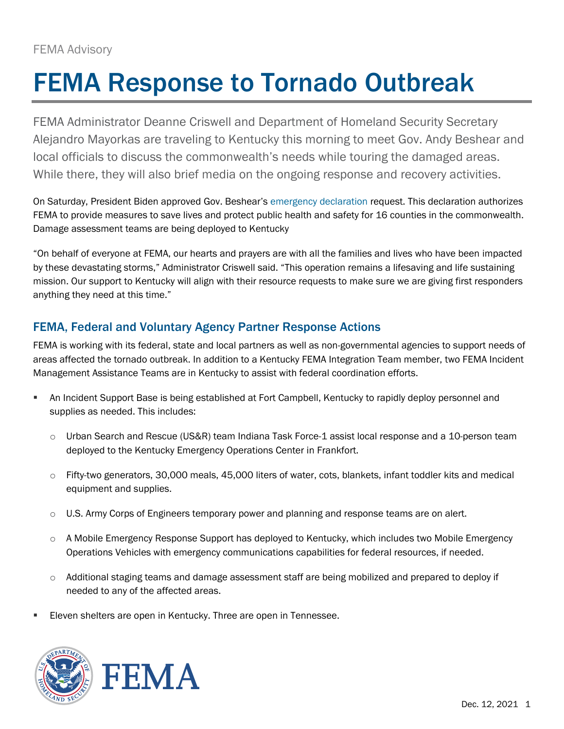# FEMA Response to Tornado Outbreak

FEMA Administrator Deanne Criswell and Department of Homeland Security Secretary Alejandro Mayorkas are traveling to Kentucky this morning to meet Gov. Andy Beshear and local officials to discuss the commonwealth's needs while touring the damaged areas. While there, they will also brief media on the ongoing response and recovery activities.

On Saturday, President Biden approved Gov. Beshear's [emergency declaration](https://www.fema.gov/press-release/20211211/fema-responds-tornado-outbreaks) request. This declaration authorizes FEMA to provide measures to save lives and protect public health and safety for 16 counties in the commonwealth. Damage assessment teams are being deployed to Kentucky

"On behalf of everyone at FEMA, our hearts and prayers are with all the families and lives who have been impacted by these devastating storms," Administrator Criswell said. "This operation remains a lifesaving and life sustaining mission. Our support to Kentucky will align with their resource requests to make sure we are giving first responders anything they need at this time."

## FEMA, Federal and Voluntary Agency Partner Response Actions

FEMA is working with its federal, state and local partners as well as non-governmental agencies to support needs of areas affected the tornado outbreak. In addition to a Kentucky FEMA Integration Team member, two FEMA Incident Management Assistance Teams are in Kentucky to assist with federal coordination efforts.

- An Incident Support Base is being established at Fort Campbell, Kentucky to rapidly deploy personnel and supplies as needed. This includes:
	- o Urban Search and Rescue (US&R) team Indiana Task Force-1 assist local response and a 10-person team deployed to the Kentucky Emergency Operations Center in Frankfort.
	- o Fifty-two generators, 30,000 meals, 45,000 liters of water, cots, blankets, infant toddler kits and medical equipment and supplies.
	- $\circ$  U.S. Army Corps of Engineers temporary power and planning and response teams are on alert.
	- $\circ$  A Mobile Emergency Response Support has deployed to Kentucky, which includes two Mobile Emergency Operations Vehicles with emergency communications capabilities for federal resources, if needed.
	- o Additional staging teams and damage assessment staff are being mobilized and prepared to deploy if needed to any of the affected areas.
- Eleven shelters are open in Kentucky. Three are open in Tennessee.



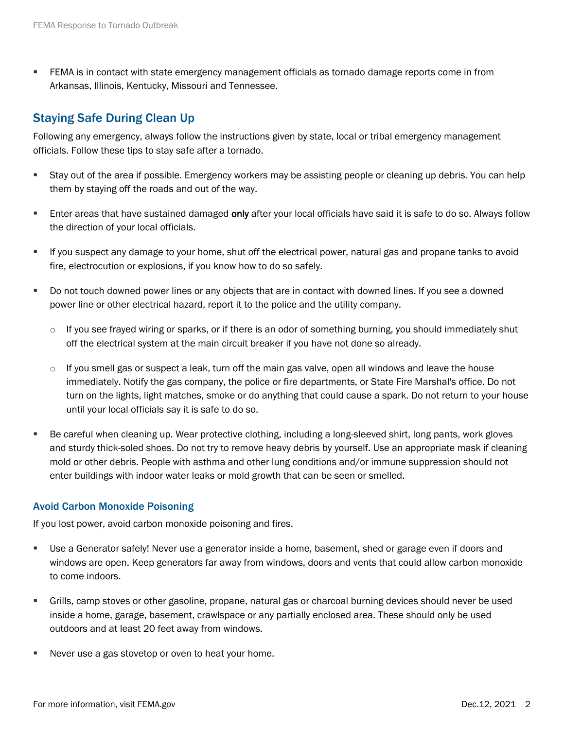**• FEMA** is in contact with state emergency management officials as tornado damage reports come in from Arkansas, Illinois, Kentucky, Missouri and Tennessee.

### Staying Safe During Clean Up

Following any emergency, always follow the instructions given by state, local or tribal emergency management officials. Follow these tips to stay safe after a tornado.

- Stay out of the area if possible. Emergency workers may be assisting people or cleaning up debris. You can help them by staying off the roads and out of the way.
- **E** Enter areas that have sustained damaged only after your local officials have said it is safe to do so. Always follow the direction of your local officials.
- If you suspect any damage to your home, shut off the electrical power, natural gas and propane tanks to avoid fire, electrocution or explosions, if you know how to do so safely.
- Do not touch downed power lines or any objects that are in contact with downed lines. If you see a downed power line or other electrical hazard, report it to the police and the utility company.
	- $\circ$  If you see frayed wiring or sparks, or if there is an odor of something burning, you should immediately shut off the electrical system at the main circuit breaker if you have not done so already.
	- $\circ$  If you smell gas or suspect a leak, turn off the main gas valve, open all windows and leave the house immediately. Notify the gas company, the police or fire departments, or State Fire Marshal's office. Do not turn on the lights, light matches, smoke or do anything that could cause a spark. Do not return to your house until your local officials say it is safe to do so.
- Be careful when cleaning up. Wear protective clothing, including a long-sleeved shirt, long pants, work gloves and sturdy thick-soled shoes. Do not try to remove heavy debris by yourself. Use an appropriate mask if cleaning mold or other debris. People with asthma and other lung conditions and/or immune suppression should not enter buildings with indoor water leaks or mold growth that can be seen or smelled.

#### Avoid Carbon Monoxide Poisoning

If you lost power, avoid carbon monoxide poisoning and fires.

- Use a Generator safely! Never use a generator inside a home, basement, shed or garage even if doors and windows are open. Keep generators far away from windows, doors and vents that could allow carbon monoxide to come indoors.
- Grills, camp stoves or other gasoline, propane, natural gas or charcoal burning devices should never be used inside a home, garage, basement, crawlspace or any partially enclosed area. These should only be used outdoors and at least 20 feet away from windows.
- Never use a gas stovetop or oven to heat your home.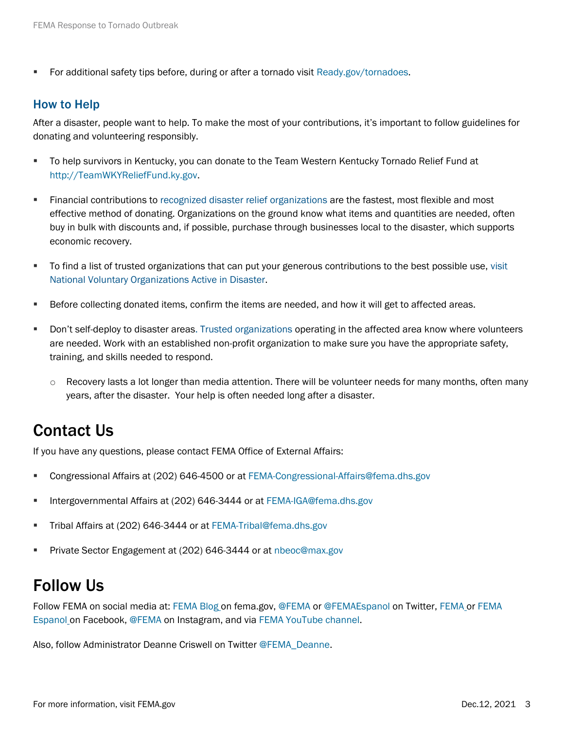■ For additional safety tips before, during or after a tornado visit [Ready.gov/tornadoes.](https://www.ready.gov/tornadoes)

#### How to Help

After a disaster, people want to help. To make the most of your contributions, it's important to follow guidelines for donating and volunteering responsibly.

- To help survivors in Kentucky, you can donate to the Team Western Kentucky Tornado Relief Fund at [http://TeamWKYReliefFund.ky.gov.](http://teamwkyrelieffund.ky.gov/)
- **EXECTE:** Financial contributions to [recognized disaster relief organizations](https://www.nvoad.org/howtohelp/donate/) are the fastest, most flexible and most effective method of donating. Organizations on the ground know what items and quantities are needed, often buy in bulk with discounts and, if possible, purchase through businesses local to the disaster, which supports economic recovery.
- **•** To find a list of trusted organizations that can put your generous contributions to the best possible use, visit [National Voluntary Organizations Active in Disaster.](https://www.nvoad.org/)
- **EXECT** Before collecting donated items, confirm the items are needed, and how it will get to affected areas.
- Don't self-deploy to disaster areas. [Trusted organizations](https://www.nvoad.org/volunteer/) operating in the affected area know where volunteers are needed. Work with an established non-profit organization to make sure you have the appropriate safety, training, and skills needed to respond.
	- $\circ$  Recovery lasts a lot longer than media attention. There will be volunteer needs for many months, often many years, after the disaster. Your help is often needed long after a disaster.

## Contact Us

If you have any questions, please contact FEMA Office of External Affairs:

- Congressional Affairs at (202) 646-4500 or at [FEMA-Congressional-Affairs@fema.dhs.gov](mailto:FEMA-Congressional-Affairs@fema.dhs.gov)
- Intergovernmental Affairs at (202) 646-3444 or at [FEMA-IGA@fema.dhs.gov](mailto:FEMA-IGA@fema.dhs.gov)
- **Tribal Affairs at (202) 646-3444 or at [FEMA-Tribal@fema.dhs.gov](mailto:FEMA-Tribal@fema.dhs.gov)**
- Private Sector Engagement at (202) 646-3444 or at [nbeoc@max.gov](mailto:nbeoc@max.gov)

## Follow Us

Follow FEMA on social media at: [FEMA Bl](https://www.fema.gov/blog)og on fema.gov, [@FEMA](https://twitter.com/FEMA) or [@FEMAEspanol](https://twitter.com/FEMAEspanol) on Twitter, [FEMA](https://www.facebook.com/FEMA) o[r FEMA](https://www.facebook.com/FEMAespanol)  [Espanol](https://www.facebook.com/FEMAespanol) on Facebook, [@FEMA](https://www.instagram.com/fema) on Instagram, and via [FEMA YouTube channel.](https://www.youtube.com/user/FEMA)

Also, follow Administrator Deanne Criswell on Twitter [@FEMA\\_Deanne.](https://twitter.com/FEMA_Deanne)